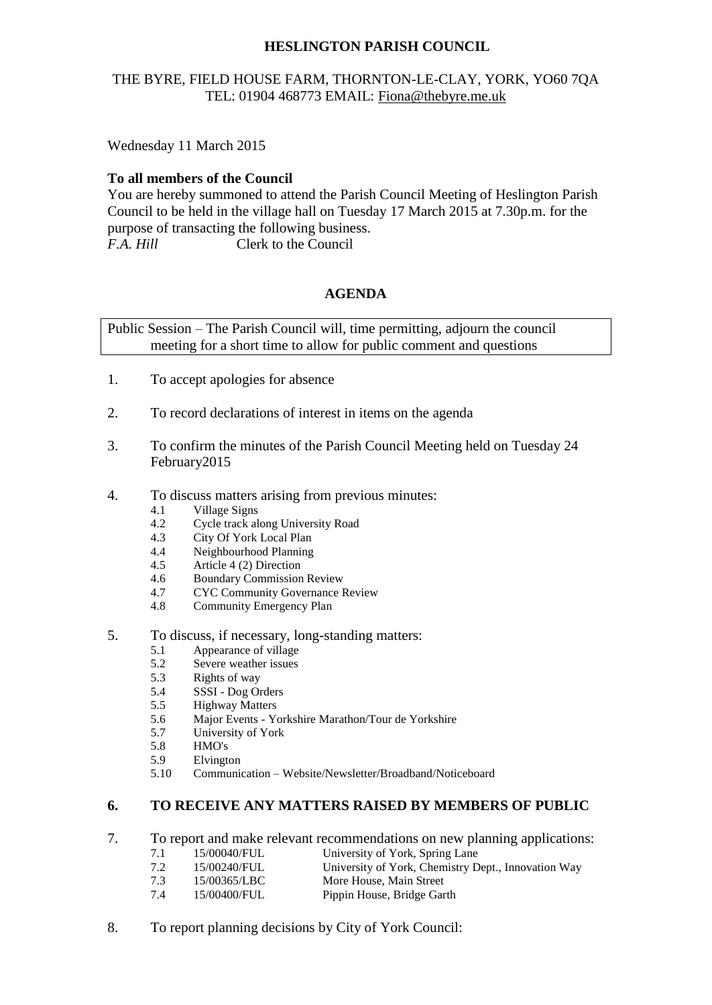# **HESLINGTON PARISH COUNCIL**

# THE BYRE, FIELD HOUSE FARM, THORNTON-LE-CLAY, YORK, YO60 7QA TEL: 01904 468773 EMAIL: [Fiona@thebyre.me.uk](mailto:Fiona@thebyre.me.uk)

Wednesday 11 March 2015

#### **To all members of the Council**

You are hereby summoned to attend the Parish Council Meeting of Heslington Parish Council to be held in the village hall on Tuesday 17 March 2015 at 7.30p.m. for the purpose of transacting the following business. *F.A. Hill* Clerk to the Council

### **AGENDA**

Public Session – The Parish Council will, time permitting, adjourn the council meeting for a short time to allow for public comment and questions

- 1. To accept apologies for absence
- 2. To record declarations of interest in items on the agenda
- 3. To confirm the minutes of the Parish Council Meeting held on Tuesday 24 February2015
- 4. To discuss matters arising from previous minutes:
	- 4.1 Village Signs
	- 4.2 Cycle track along University Road
	- 4.3 City Of York Local Plan
	- 4.4 Neighbourhood Planning
	- 4.5 Article 4 (2) Direction
	- 4.6 Boundary Commission Review
	- 4.7 CYC Community Governance Review
	- 4.8 Community Emergency Plan
- 5. To discuss, if necessary, long-standing matters:
	- 5.1 Appearance of village
	- 5.2 Severe weather issues
	- 5.3 Rights of way
	- 5.4 SSSI Dog Orders
	- 5.5 Highway Matters
	- 5.6 Major Events Yorkshire Marathon/Tour de Yorkshire
	- 5.7 University of York
	- 5.8 HMO's
	- 5.9 Elvington
	- 5.10 Communication Website/Newsletter/Broadband/Noticeboard

### **6. TO RECEIVE ANY MATTERS RAISED BY MEMBERS OF PUBLIC**

- 7. To report and make relevant recommendations on new planning applications:
	- 7.1 15/00040/FUL University of York, Spring Lane
	- 7.2 15/00240/FUL University of York, Chemistry Dept., Innovation Way
		- 7.3 15/00365/LBC More House, Main Street
		- 7.4 15/00400/FUL Pippin House, Bridge Garth
- 8. To report planning decisions by City of York Council: